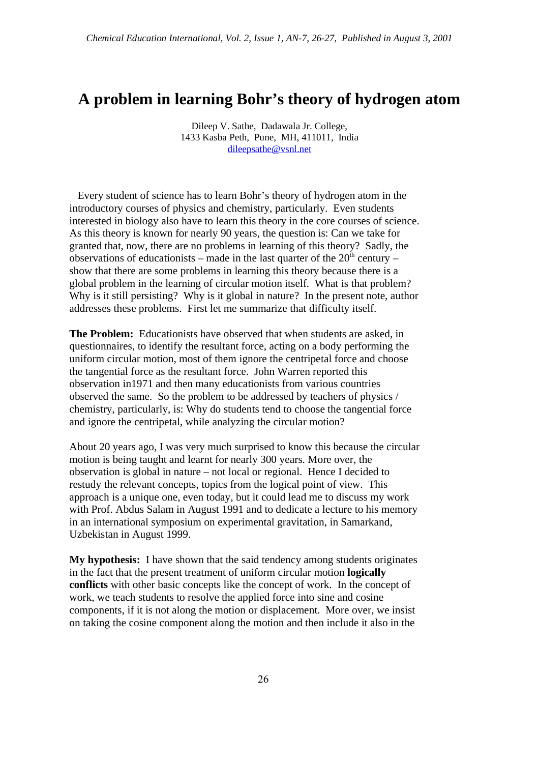## **A problem in learning Bohr's theory of hydrogen atom**

Dileep V. Sathe, Dadawala Jr. College, 1433 Kasba Peth, Pune, MH, 411011, India dileepsathe@vsnl.net

 Every student of science has to learn Bohr's theory of hydrogen atom in the introductory courses of physics and chemistry, particularly. Even students interested in biology also have to learn this theory in the core courses of science. As this theory is known for nearly 90 years, the question is: Can we take for granted that, now, there are no problems in learning of this theory? Sadly, the observations of educationists – made in the last quarter of the  $20<sup>th</sup>$  century – show that there are some problems in learning this theory because there is a global problem in the learning of circular motion itself. What is that problem? Why is it still persisting? Why is it global in nature? In the present note, author addresses these problems. First let me summarize that difficulty itself.

**The Problem:** Educationists have observed that when students are asked, in questionnaires, to identify the resultant force, acting on a body performing the uniform circular motion, most of them ignore the centripetal force and choose the tangential force as the resultant force. John Warren reported this observation in1971 and then many educationists from various countries observed the same. So the problem to be addressed by teachers of physics / chemistry, particularly, is: Why do students tend to choose the tangential force and ignore the centripetal, while analyzing the circular motion?

About 20 years ago, I was very much surprised to know this because the circular motion is being taught and learnt for nearly 300 years. More over, the observation is global in nature – not local or regional. Hence I decided to restudy the relevant concepts, topics from the logical point of view. This approach is a unique one, even today, but it could lead me to discuss my work with Prof. Abdus Salam in August 1991 and to dedicate a lecture to his memory in an international symposium on experimental gravitation, in Samarkand, Uzbekistan in August 1999.

**My hypothesis:** I have shown that the said tendency among students originates in the fact that the present treatment of uniform circular motion **logically conflicts** with other basic concepts like the concept of work. In the concept of work, we teach students to resolve the applied force into sine and cosine components, if it is not along the motion or displacement. More over, we insist on taking the cosine component along the motion and then include it also in the